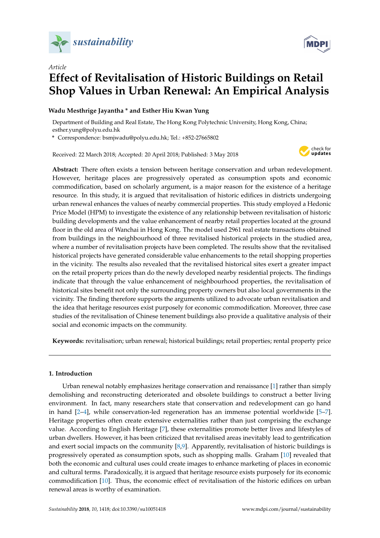

*Article*



# **Effect of Revitalisation of Historic Buildings on Retail Shop Values in Urban Renewal: An Empirical Analysis**

# **Wadu Mesthrige Jayantha \* and Esther Hiu Kwan Yung**

Department of Building and Real Estate, The Hong Kong Polytechnic University, Hong Kong, China; esther.yung@polyu.edu.hk

**\*** Correspondence: bsmjwadu@polyu.edu.hk; Tel.: +852-27665802

Received: 22 March 2018; Accepted: 20 April 2018; Published: 3 May 2018



**Abstract:** There often exists a tension between heritage conservation and urban redevelopment. However, heritage places are progressively operated as consumption spots and economic commodification, based on scholarly argument, is a major reason for the existence of a heritage resource. In this study, it is argued that revitalisation of historic edifices in districts undergoing urban renewal enhances the values of nearby commercial properties. This study employed a Hedonic Price Model (HPM) to investigate the existence of any relationship between revitalisation of historic building developments and the value enhancement of nearby retail properties located at the ground floor in the old area of Wanchai in Hong Kong. The model used 2961 real estate transactions obtained from buildings in the neighbourhood of three revitalised historical projects in the studied area, where a number of revitalisation projects have been completed. The results show that the revitalised historical projects have generated considerable value enhancements to the retail shopping properties in the vicinity. The results also revealed that the revitalised historical sites exert a greater impact on the retail property prices than do the newly developed nearby residential projects. The findings indicate that through the value enhancement of neighbourhood properties, the revitalisation of historical sites benefit not only the surrounding property owners but also local governments in the vicinity. The finding therefore supports the arguments utilized to advocate urban revitalisation and the idea that heritage resources exist purposely for economic commodification. Moreover, three case studies of the revitalisation of Chinese tenement buildings also provide a qualitative analysis of their social and economic impacts on the community.

**Keywords:** revitalisation; urban renewal; historical buildings; retail properties; rental property price

## **1. Introduction**

Urban renewal notably emphasizes heritage conservation and renaissance [\[1\]](#page-14-0) rather than simply demolishing and reconstructing deteriorated and obsolete buildings to construct a better living environment. In fact, many researchers state that conservation and redevelopment can go hand in hand [\[2–](#page-14-1)[4\]](#page-14-2), while conservation-led regeneration has an immense potential worldwide [\[5](#page-14-3)[–7\]](#page-14-4). Heritage properties often create extensive externalities rather than just comprising the exchange value. According to English Heritage [\[7\]](#page-14-4), these externalities promote better lives and lifestyles of urban dwellers. However, it has been criticized that revitalised areas inevitably lead to gentrification and exert social impacts on the community [\[8](#page-14-5)[,9\]](#page-14-6). Apparently, revitalisation of historic buildings is progressively operated as consumption spots, such as shopping malls. Graham [\[10\]](#page-14-7) revealed that both the economic and cultural uses could create images to enhance marketing of places in economic and cultural terms. Paradoxically, it is argued that heritage resource exists purposely for its economic commodification [\[10\]](#page-14-7). Thus, the economic effect of revitalisation of the historic edifices on urban renewal areas is worthy of examination.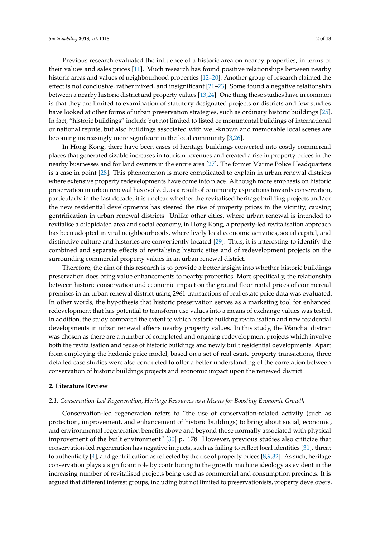Previous research evaluated the influence of a historic area on nearby properties, in terms of their values and sales prices [\[11\]](#page-14-8). Much research has found positive relationships between nearby historic areas and values of neighbourhood properties [\[12](#page-14-9)[–20\]](#page-15-0). Another group of research claimed the effect is not conclusive, rather mixed, and insignificant [\[21](#page-15-1)[–23\]](#page-15-2). Some found a negative relationship between a nearby historic district and property values [\[13](#page-14-10)[,24\]](#page-15-3). One thing these studies have in common is that they are limited to examination of statutory designated projects or districts and few studies have looked at other forms of urban preservation strategies, such as ordinary historic buildings [\[25\]](#page-15-4). In fact, "historic buildings" include but not limited to listed or monumental buildings of international or national repute, but also buildings associated with well-known and memorable local scenes are becoming increasingly more significant in the local community [\[3,](#page-14-11)[26\]](#page-15-5).

In Hong Kong, there have been cases of heritage buildings converted into costly commercial places that generated sizable increases in tourism revenues and created a rise in property prices in the nearby businesses and for land owners in the entire area [\[27\]](#page-15-6). The former Marine Police Headquarters is a case in point [\[28\]](#page-15-7). This phenomenon is more complicated to explain in urban renewal districts where extensive property redevelopments have come into place. Although more emphasis on historic preservation in urban renewal has evolved, as a result of community aspirations towards conservation, particularly in the last decade, it is unclear whether the revitalised heritage building projects and/or the new residential developments has steered the rise of property prices in the vicinity, causing gentrification in urban renewal districts. Unlike other cities, where urban renewal is intended to revitalise a dilapidated area and social economy, in Hong Kong, a property-led revitalisation approach has been adopted in vital neighbourhoods, where lively local economic activities, social capital, and distinctive culture and histories are conveniently located [\[29\]](#page-15-8). Thus, it is interesting to identify the combined and separate effects of revitalising historic sites and of redevelopment projects on the surrounding commercial property values in an urban renewal district.

Therefore, the aim of this research is to provide a better insight into whether historic buildings preservation does bring value enhancements to nearby properties. More specifically, the relationship between historic conservation and economic impact on the ground floor rental prices of commercial premises in an urban renewal district using 2961 transactions of real estate price data was evaluated. In other words, the hypothesis that historic preservation serves as a marketing tool for enhanced redevelopment that has potential to transform use values into a means of exchange values was tested. In addition, the study compared the extent to which historic building revitalisation and new residential developments in urban renewal affects nearby property values. In this study, the Wanchai district was chosen as there are a number of completed and ongoing redevelopment projects which involve both the revitalisation and reuse of historic buildings and newly built residential developments. Apart from employing the hedonic price model, based on a set of real estate property transactions, three detailed case studies were also conducted to offer a better understanding of the correlation between conservation of historic buildings projects and economic impact upon the renewed district.

#### **2. Literature Review**

#### *2.1. Conservation-Led Regeneration, Heritage Resources as a Means for Boosting Economic Growth*

Conservation-led regeneration refers to "the use of conservation-related activity (such as protection, improvement, and enhancement of historic buildings) to bring about social, economic, and environmental regeneration benefits above and beyond those normally associated with physical improvement of the built environment" [\[30\]](#page-15-9) p. 178. However, previous studies also criticize that conservation-led regeneration has negative impacts, such as failing to reflect local identities [\[31\]](#page-15-10), threat to authenticity [\[4\]](#page-14-2), and gentrification as reflected by the rise of property prices [\[8](#page-14-5)[,9](#page-14-6)[,32\]](#page-15-11). As such, heritage conservation plays a significant role by contributing to the growth machine ideology as evident in the increasing number of revitalised projects being used as commercial and consumption precincts. It is argued that different interest groups, including but not limited to preservationists, property developers,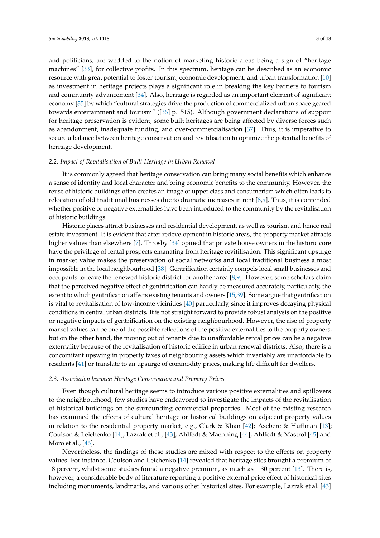and politicians, are wedded to the notion of marketing historic areas being a sign of "heritage machines" [\[33\]](#page-15-12), for collective profits. In this spectrum, heritage can be described as an economic resource with great potential to foster tourism, economic development, and urban transformation [\[10\]](#page-14-7) as investment in heritage projects plays a significant role in breaking the key barriers to tourism and community advancement [\[34\]](#page-15-13). Also, heritage is regarded as an important element of significant economy [\[35\]](#page-15-14) by which "cultural strategies drive the production of commercialized urban space geared towards entertainment and tourism" ([\[36\]](#page-15-15) p. 515). Although government declarations of support for heritage preservation is evident, some built heritages are being affected by diverse forces such as abandonment, inadequate funding, and over-commercialisation [\[37\]](#page-15-16). Thus, it is imperative to secure a balance between heritage conservation and revitilisation to optimize the potential benefits of heritage development.

## *2.2. Impact of Revitalisation of Built Heritage in Urban Renewal*

It is commonly agreed that heritage conservation can bring many social benefits which enhance a sense of identity and local character and bring economic benefits to the community. However, the reuse of historic buildings often creates an image of upper class and consumerism which often leads to relocation of old traditional businesses due to dramatic increases in rent [\[8](#page-14-5)[,9\]](#page-14-6). Thus, it is contended whether positive or negative externalities have been introduced to the community by the revitalisation of historic buildings.

Historic places attract businesses and residential development, as well as tourism and hence real estate investment. It is evident that after redevelopment in historic areas, the property market attracts higher values than elsewhere [\[7\]](#page-14-4). Throsby [\[34\]](#page-15-13) opined that private house owners in the historic core have the privilege of rental prospects emanating from heritage revitilisation. This significant upsurge in market value makes the preservation of social networks and local traditional business almost impossible in the local neighbourhood [\[38\]](#page-15-17). Gentrification certainly compels local small businesses and occupants to leave the renewed historic district for another area [\[8,](#page-14-5)[9\]](#page-14-6). However, some scholars claim that the perceived negative effect of gentrification can hardly be measured accurately, particularly, the extent to which gentrification affects existing tenants and owners [\[15,](#page-14-12)[39\]](#page-15-18). Some argue that gentrification is vital to revitalisation of low-income vicinities [\[40\]](#page-15-19) particularly, since it improves decaying physical conditions in central urban districts. It is not straight forward to provide robust analysis on the positive or negative impacts of gentrification on the existing neighbourhood. However, the rise of property market values can be one of the possible reflections of the positive externalities to the property owners, but on the other hand, the moving out of tenants due to unaffordable rental prices can be a negative externality because of the revitalisation of historic edifice in urban renewal districts. Also, there is a concomitant upswing in property taxes of neighbouring assets which invariably are unaffordable to residents [\[41\]](#page-15-20) or translate to an upsurge of commodity prices, making life difficult for dwellers.

#### *2.3. Association between Heritage Conservation and Property Prices*

Even though cultural heritage seems to introduce various positive externalities and spillovers to the neighbourhood, few studies have endeavored to investigate the impacts of the revitalisation of historical buildings on the surrounding commercial properties. Most of the existing research has examined the effects of cultural heritage or historical buildings on adjacent property values in relation to the residential property market, e.g., Clark & Khan [\[42\]](#page-15-21); Asebere & Huffman [\[13\]](#page-14-10); Coulson & Leichenko [\[14\]](#page-14-13); Lazrak et al., [\[43\]](#page-15-22); Ahlfedt & Maenning [\[44\]](#page-15-23); Ahlfedt & Mastrol [\[45\]](#page-16-0) and Moro et al., [\[46\]](#page-16-1).

Nevertheless, the findings of these studies are mixed with respect to the effects on property values. For instance, Coulson and Leichenko [\[14\]](#page-14-13) revealed that heritage sites brought a premium of 18 percent, whilst some studies found a negative premium, as much as −30 percent [\[13\]](#page-14-10). There is, however, a considerable body of literature reporting a positive external price effect of historical sites including monuments, landmarks, and various other historical sites. For example, Lazrak et al. [\[43\]](#page-15-22)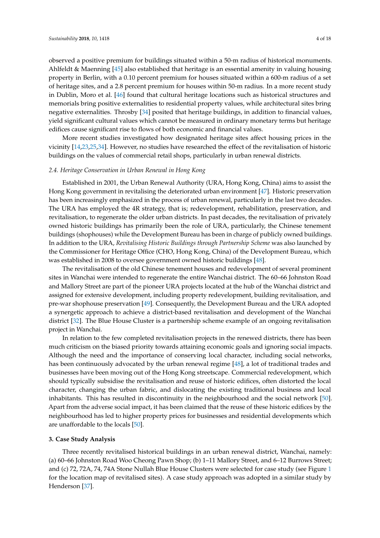observed a positive premium for buildings situated within a 50-m radius of historical monuments. Ahlfeldt & Maenning [\[45\]](#page-16-0) also established that heritage is an essential amenity in valuing housing property in Berlin, with a 0.10 percent premium for houses situated within a 600-m radius of a set of heritage sites, and a 2.8 percent premium for houses within 50-m radius. In a more recent study in Dublin, Moro et al. [\[46\]](#page-16-1) found that cultural heritage locations such as historical structures and memorials bring positive externalities to residential property values, while architectural sites bring negative externalities. Throsby [\[34\]](#page-15-13) posited that heritage buildings, in addition to financial values, yield significant cultural values which cannot be measured in ordinary monetary terms but heritage edifices cause significant rise to flows of both economic and financial values.

More recent studies investigated how designated heritage sites affect housing prices in the vicinity [\[14,](#page-14-13)[23](#page-15-2)[,25,](#page-15-4)[34\]](#page-15-13). However, no studies have researched the effect of the revitalisation of historic buildings on the values of commercial retail shops, particularly in urban renewal districts.

## *2.4. Heritage Conservation in Urban Renewal in Hong Kong*

Established in 2001, the Urban Renewal Authority (URA, Hong Kong, China) aims to assist the Hong Kong government in revitalising the deteriorated urban environment [\[47\]](#page-16-2). Historic preservation has been increasingly emphasized in the process of urban renewal, particularly in the last two decades. The URA has employed the 4R strategy, that is; redevelopment, rehabilitation, preservation, and revitalisation, to regenerate the older urban districts. In past decades, the revitalisation of privately owned historic buildings has primarily been the role of URA, particularly, the Chinese tenement buildings (shophouses) while the Development Bureau has been in charge of publicly owned buildings. In addition to the URA, *Revitalising Historic Buildings through Partnership Scheme* was also launched by the Commissioner for Heritage Office (CHO, Hong Kong, China) of the Development Bureau, which was established in 2008 to oversee government owned historic buildings [\[48\]](#page-16-3).

The revitalisation of the old Chinese tenement houses and redevelopment of several prominent sites in Wanchai were intended to regenerate the entire Wanchai district. The 60–66 Johnston Road and Mallory Street are part of the pioneer URA projects located at the hub of the Wanchai district and assigned for extensive development, including property redevelopment, building revitalisation, and pre-war shophouse preservation [\[49\]](#page-16-4). Consequently, the Development Bureau and the URA adopted a synergetic approach to achieve a district-based revitalisation and development of the Wanchai district [\[32\]](#page-15-11). The Blue House Cluster is a partnership scheme example of an ongoing revitalisation project in Wanchai.

In relation to the few completed revitalisation projects in the renewed districts, there has been much criticism on the biased priority towards attaining economic goals and ignoring social impacts. Although the need and the importance of conserving local character, including social networks, has been continuously advocated by the urban renewal regime [\[48\]](#page-16-3), a lot of traditional trades and businesses have been moving out of the Hong Kong streetscape. Commercial redevelopment, which should typically subsidise the revitalisation and reuse of historic edifices, often distorted the local character, changing the urban fabric, and dislocating the existing traditional business and local inhabitants. This has resulted in discontinuity in the neighbourhood and the social network [\[50\]](#page-16-5). Apart from the adverse social impact, it has been claimed that the reuse of these historic edifices by the neighbourhood has led to higher property prices for businesses and residential developments which are unaffordable to the locals [\[50\]](#page-16-5).

## **3. Case Study Analysis**

Three recently revitalised historical buildings in an urban renewal district, Wanchai, namely: (a) 60–66 Johnston Road Woo Cheong Pawn Shop; (b) 1–11 Mallory Street, and 6–12 Burrows Street; and (c) 72, 72A, 74, 74A Stone Nullah Blue House Clusters were selected for case study (see Figure [1](#page-4-0) for the location map of revitalised sites). A case study approach was adopted in a similar study by Henderson [\[37\]](#page-15-16).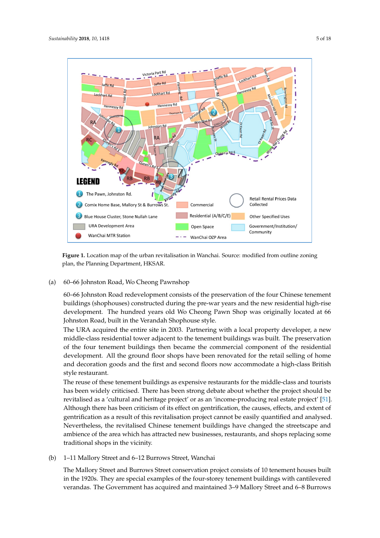<span id="page-4-0"></span>

**Figure 1.** Location map of the urban revitalisation in Wanchai. Source: modified from outline zoning **Figure 1.** Location map of the urban revitalisation in Wanchai. Source: modified from outline zoning plan, the Planning Department, HKSAR. plan, the Planning Department, HKSAR.

(a) 60–66 Johnston Road, Wo Cheong Pawnshop (a) 60–66 Johnston Road, Wo Cheong Pawnshop  $\mathcal{F}_{\mathcal{F}}$  Johnston Road redevelopment consists of the four Chinese tenement consists of the four Chinese tenement consists of the four Chinese tenement consists of the four Chinese tenement consists of the four Chine

60–66 Johnston Road redevelopment consists of the preservation of the four Chinese tenement buildings (shophouses) constructed during the pre-war years and the new residential high-rise development. The hundred years old Wo Cheong Pawn Shop was originally located at 66 Johnston Road, built in the Verandah Shophouse style.

.<br>The URA acquired the entire site in 2003. Partnering with a local property developer, a new the four tequired the chart but in 2000. Then then by which bout properly developer, middle-class residential tower adjacent to the tenement buildings was built. The preservation of the four tenement buildings then became the commercial component of the residential development. All the ground floor shops have been renovated for the retail selling of home and decoration goods and the first and second floors now accommodate a high-class British has been widely criticised. There has been strong debate about whether the project should be project should be  $\mathbb{R}^n$ 

The reuse of these tenement buildings as expensive restaurants for the middle-class and tourists  $\frac{1}{\sqrt{1 + \frac{1}{\sqrt{1 + \frac{1}{\sqrt{1 + \frac{1}{\sqrt{1 + \frac{1}{\sqrt{1 + \frac{1}{\sqrt{1 + \frac{1}{\sqrt{1 + \frac{1}{\sqrt{1 + \frac{1}{\sqrt{1 + \frac{1}{\sqrt{1 + \frac{1}{\sqrt{1 + \frac{1}{\sqrt{1 + \frac{1}{\sqrt{1 + \frac{1}{\sqrt{1 + \frac{1}{\sqrt{1 + \frac{1}{\sqrt{1 + \frac{1}{\sqrt{1 + \frac{1}{\sqrt{1 + \frac{1}{\sqrt{1 + \frac{1}{\sqrt{1 + \frac{1}{\sqrt{1 + \frac{1}{\sqrt{1 +$ gentrification as a result of this revitalisation project cannot be easily quantified and analysed. has been widely criticised. There has been strong debate about whether the project should be revitalised as a 'cultural and heritage project' or as an 'income-producing real estate project' [\[51\]](#page-16-6). Although there has been criticism of its effect on gentrification, the causes, effects, and extent of gentrification as a result of this revitalisation project cannot be easily quantified and analysed. Nevertheless, the revitalised Chinese tenement buildings have changed the streetscape and The Mallory Street and Burrows Street constant conservation project conservation project consists of  $1 \quad 1 \quad 1 \quad 0$ traditional shops in the vicinity. ambience of the area which has attracted new businesses, restaurants, and shops replacing some

(b) 1–11 Mallory Street and 6–12 Burrows Street, Wanchai

The Mallory Street and Burrows Street conservation project consists of 10 tenement houses built in the 1920s. They are special examples of the four-storey tenement buildings with cantilevered verandas. The Government has acquired and maintained 3–9 Mallory Street and 6–8 Burrows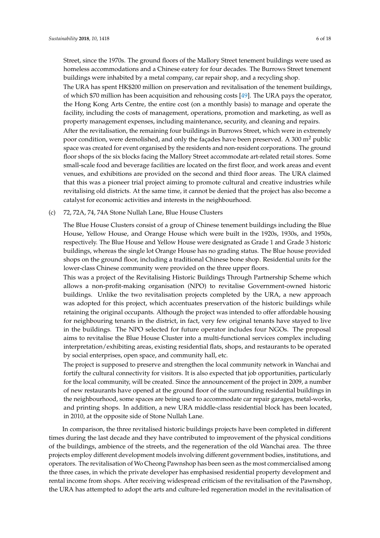Street, since the 1970s. The ground floors of the Mallory Street tenement buildings were used as homeless accommodations and a Chinese eatery for four decades. The Burrows Street tenement buildings were inhabited by a metal company, car repair shop, and a recycling shop.

The URA has spent HK\$200 million on preservation and revitalisation of the tenement buildings, of which \$70 million has been acquisition and rehousing costs [\[49\]](#page-16-4). The URA pays the operator, the Hong Kong Arts Centre, the entire cost (on a monthly basis) to manage and operate the facility, including the costs of management, operations, promotion and marketing, as well as property management expenses, including maintenance, security, and cleaning and repairs. After the revitalisation, the remaining four buildings in Burrows Street, which were in extremely poor condition, were demolished, and only the facades have been preserved. A 300  $m<sup>2</sup>$  public space was created for event organised by the residents and non-resident corporations. The ground floor shops of the six blocks facing the Mallory Street accommodate art-related retail stores. Some small-scale food and beverage facilities are located on the first floor, and work areas and event venues, and exhibitions are provided on the second and third floor areas. The URA claimed that this was a pioneer trial project aiming to promote cultural and creative industries while revitalising old districts. At the same time, it cannot be denied that the project has also become a catalyst for economic activities and interests in the neighbourhood.

(c) 72, 72A, 74, 74A Stone Nullah Lane, Blue House Clusters

The Blue House Clusters consist of a group of Chinese tenement buildings including the Blue House, Yellow House, and Orange House which were built in the 1920s, 1930s, and 1950s, respectively. The Blue House and Yellow House were designated as Grade 1 and Grade 3 historic buildings, whereas the single lot Orange House has no grading status. The Blue house provided shops on the ground floor, including a traditional Chinese bone shop. Residential units for the lower-class Chinese community were provided on the three upper floors.

This was a project of the Revitalising Historic Buildings Through Partnership Scheme which allows a non-profit-making organisation (NPO) to revitalise Government-owned historic buildings. Unlike the two revitalisation projects completed by the URA, a new approach was adopted for this project, which accentuates preservation of the historic buildings while retaining the original occupants. Although the project was intended to offer affordable housing for neighbouring tenants in the district, in fact, very few original tenants have stayed to live in the buildings. The NPO selected for future operator includes four NGOs. The proposal aims to revitalise the Blue House Cluster into a multi-functional services complex including interpretation/exhibiting areas, existing residential flats, shops, and restaurants to be operated by social enterprises, open space, and community hall, etc.

The project is supposed to preserve and strengthen the local community network in Wanchai and fortify the cultural connectivity for visitors. It is also expected that job opportunities, particularly for the local community, will be created. Since the announcement of the project in 2009, a number of new restaurants have opened at the ground floor of the surrounding residential buildings in the neighbourhood, some spaces are being used to accommodate car repair garages, metal-works, and printing shops. In addition, a new URA middle-class residential block has been located, in 2010, at the opposite side of Stone Nullah Lane.

In comparison, the three revitalised historic buildings projects have been completed in different times during the last decade and they have contributed to improvement of the physical conditions of the buildings, ambience of the streets, and the regeneration of the old Wanchai area. The three projects employ different development models involving different government bodies, institutions, and operators. The revitalisation of Wo Cheong Pawnshop has been seen as the most commercialised among the three cases, in which the private developer has emphasised residential property development and rental income from shops. After receiving widespread criticism of the revitalisation of the Pawnshop, the URA has attempted to adopt the arts and culture-led regeneration model in the revitalisation of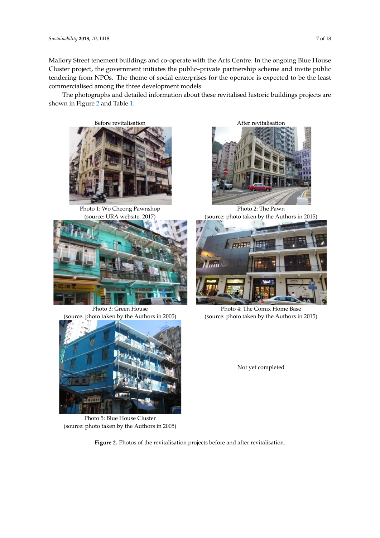Mallory Street tenement buildings and co-operate with the Arts Centre. In the ongoing Blue House Cluster project, the government initiates the public-private partnership scheme and invite public tendering from NPOs. The theme of social enterprises for the operator is expected to be the least commercialised among the three development models.<br>The least commercialised among the three development models.

The photographs and detailed information about these revitalised historic buildings projects are The photographs and detailed information about these revitalised historic buildings projects are shown in Figure [2](#page-6-0) and Table [1.](#page-7-0) shown in Figure 2 and Table 1.

<span id="page-6-0"></span>

Photo 1: Wo Cheong Pawnshop (source: URA website, 2017)



Photo 3: Green House (source: photo taken by the Authors in 2005)



Photo 5: Blue House Cluster (source: photo taken by the Authors in 2005)

Photo 2: The Pawn (source: photo taken by the Authors in 2015)



Photo 4: The Comix Home Base (source: photo taken by the Authors in 2015)

Not yet completed

**Figure 2.** Photos of the revitalisation projects before and after revitalisation. **Figure 2.** Photos of the revitalisation projects before and after revitalisation.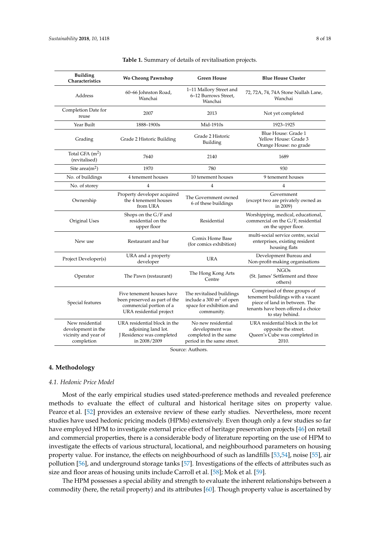<span id="page-7-0"></span>

| <b>Building</b><br>Characteristics                                          | <b>Wo Cheong Pawnshop</b>                                                                                        | <b>Green House</b>                                                                                         | <b>Blue House Cluster</b>                                                                                                                                  |
|-----------------------------------------------------------------------------|------------------------------------------------------------------------------------------------------------------|------------------------------------------------------------------------------------------------------------|------------------------------------------------------------------------------------------------------------------------------------------------------------|
| Address                                                                     | 60-66 Johnston Road,<br>Wanchai                                                                                  | 1-11 Mallory Street and<br>6-12 Burrows Street,<br>Wanchai                                                 | 72, 72A, 74, 74A Stone Nullah Lane,<br>Wanchai                                                                                                             |
| Completion Date for<br>reuse                                                | 2007                                                                                                             | 2013                                                                                                       | Not yet completed                                                                                                                                          |
| Year Built                                                                  | 1888-1900s                                                                                                       | Mid-1910s                                                                                                  | 1923-1925                                                                                                                                                  |
| Grading                                                                     | Grade 2 Historic Building                                                                                        | Grade 2 Historic<br>Building                                                                               | Blue House: Grade 1<br>Yellow House: Grade 3<br>Orange House: no grade                                                                                     |
| Total GFA $(m^2)$<br>(revitalised)                                          | 7640                                                                                                             | 2140                                                                                                       | 1689                                                                                                                                                       |
| Site area $(m^2)$                                                           | 1970                                                                                                             | 780                                                                                                        | 930                                                                                                                                                        |
| No. of buildings                                                            | 4 tenement houses                                                                                                | 10 tenement houses                                                                                         | 9 tenement houses                                                                                                                                          |
| No. of storey                                                               | 4                                                                                                                | 4                                                                                                          | 4                                                                                                                                                          |
| Ownership                                                                   | Property developer acquired<br>the 4 tenement houses<br>from URA                                                 | The Government owned<br>6 of these buildings                                                               | Government<br>(except two are privately owned as<br>in 2009)                                                                                               |
| Original Uses                                                               | Shops on the G/F and<br>residential on the<br>upper floor                                                        | Residential                                                                                                | Worshipping, medical, educational,<br>commercial on the G/F, residential<br>on the upper floor.                                                            |
| New use                                                                     | Restaurant and bar                                                                                               | Comix Home Base<br>(for comics exhibition)                                                                 | multi-social service centre, social<br>enterprises, existing resident<br>housing flats                                                                     |
| Project Developer(s)                                                        | URA and a property<br>developer                                                                                  | URA                                                                                                        | Development Bureau and<br>Non-profit-making organisations                                                                                                  |
| Operator                                                                    | The Pawn (restaurant)                                                                                            | The Hong Kong Arts<br>Centre                                                                               | <b>NGOs</b><br>(St. James' Settlement and three<br>others)                                                                                                 |
| Special features                                                            | Five tenement houses have<br>been preserved as part of the<br>commercial portion of a<br>URA residential project | The revitalised buildings<br>include a $300 \text{ m}^2$ of open<br>space for exhibition and<br>community. | Comprised of three groups of<br>tenement buildings with a vacant<br>piece of land in between. The<br>tenants have been offered a choice<br>to stay behind. |
| New residential<br>development in the<br>vicinity and year of<br>completion | URA residential block in the<br>adjoining land lot.<br>J Residence was completed<br>in 2008/2009                 | No new residential<br>development was<br>completed in the same<br>period in the same street.               | URA residential block in the lot<br>opposite the street.<br>Queen's Cube was completed in<br>2010.                                                         |

| Table 1. Summary of details of revitalisation projects. |  |  |  |
|---------------------------------------------------------|--|--|--|
|---------------------------------------------------------|--|--|--|

Source: Authors.

#### **4. Methodology**

#### *4.1. Hedonic Price Model*

Most of the early empirical studies used stated-preference methods and revealed preference methods to evaluate the effect of cultural and historical heritage sites on property value. Pearce et al. [\[52\]](#page-16-7) provides an extensive review of these early studies. Nevertheless, more recent studies have used hedonic pricing models (HPMs) extensively. Even though only a few studies so far have employed HPM to investigate external price effect of heritage preservation projects [\[46\]](#page-16-1) on retail and commercial properties, there is a considerable body of literature reporting on the use of HPM to investigate the effects of various structural, locational, and neighbourhood parameters on housing property value. For instance, the effects on neighbourhood of such as landfills [\[53,](#page-16-8)[54\]](#page-16-9), noise [\[55\]](#page-16-10), air pollution [\[56\]](#page-16-11), and underground storage tanks [\[57\]](#page-16-12). Investigations of the effects of attributes such as size and floor areas of housing units include Carroll et al. [\[58\]](#page-16-13); Mok et al. [\[59\]](#page-16-14).

The HPM possesses a special ability and strength to evaluate the inherent relationships between a commodity (here, the retail property) and its attributes [\[60\]](#page-16-15). Though property value is ascertained by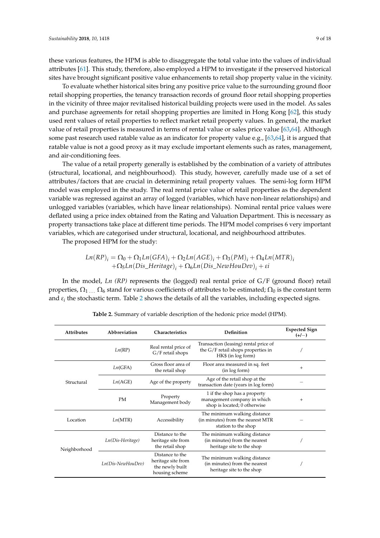these various features, the HPM is able to disaggregate the total value into the values of individual attributes [\[61\]](#page-16-16). This study, therefore, also employed a HPM to investigate if the preserved historical sites have brought significant positive value enhancements to retail shop property value in the vicinity.

To evaluate whether historical sites bring any positive price value to the surrounding ground floor retail shopping properties, the tenancy transaction records of ground floor retail shopping properties in the vicinity of three major revitalised historical building projects were used in the model. As sales and purchase agreements for retail shopping properties are limited in Hong Kong [\[62\]](#page-16-17), this study used rent values of retail properties to reflect market retail property values. In general, the market value of retail properties is measured in terms of rental value or sales price value [\[63](#page-16-18)[,64\]](#page-16-19). Although some past research used ratable value as an indicator for property value e.g., [\[63](#page-16-18)[,64\]](#page-16-19), it is argued that ratable value is not a good proxy as it may exclude important elements such as rates, management, and air-conditioning fees.

The value of a retail property generally is established by the combination of a variety of attributes (structural, locational, and neighbourhood). This study, however, carefully made use of a set of attributes/factors that are crucial in determining retail property values. The semi-log form HPM model was employed in the study. The real rental price value of retail properties as the dependent variable was regressed against an array of logged (variables, which have non-linear relationships) and unlogged variables (variables, which have linear relationships). Nominal rental price values were deflated using a price index obtained from the Rating and Valuation Department. This is necessary as property transactions take place at different time periods. The HPM model comprises 6 very important variables, which are categorised under structural, locational, and neighbourhood attributes.

The proposed HPM for the study:

$$
Ln(RP)_i = \Omega_0 + \Omega_1 Ln(GFA)_i + \Omega_2 Ln(AGE)_i + \Omega_3(PM)_i + \Omega_4 Ln(MTR)_i + \Omega_5 Ln(Dis\_Heritage)_i + \Omega_6 Ln(Dis\_NewHouDev)_i + \varepsilon i
$$

In the model, *Ln* (*RP*) represents the (logged) real rental price of G/F (ground floor) retail properties,  $\Omega_1$  . . .  $\Omega_6$  stand for various coefficients of attributes to be estimated;  $\Omega_0$  is the constant term and *ε<sup>i</sup>* the stochastic term. Table [2](#page-8-0) shows the details of all the variables, including expected signs.

<span id="page-8-0"></span>

| <b>Attributes</b> | Abbreviation      | Characteristics                                                                            | Definition                                                                                        | <b>Expected Sign</b><br>$(+/-)$ |
|-------------------|-------------------|--------------------------------------------------------------------------------------------|---------------------------------------------------------------------------------------------------|---------------------------------|
|                   | Ln(RP)            | Real rental price of<br>G/F retail shops                                                   | Transaction (leasing) rental price of<br>the G/F retail shops properties in<br>HK\$ (in log form) |                                 |
|                   | Ln(GFA)           | Gross floor area of<br>Floor area measured in sq. feet<br>(in log form)<br>the retail shop |                                                                                                   | $^{+}$                          |
| Structural        | Ln(AGE)           | Age of the property                                                                        | Age of the retail shop at the<br>transaction date (years in log form)                             |                                 |
|                   | <b>PM</b>         | Property<br>Management body                                                                | 1 if the shop has a property<br>management company in which<br>shop is located; 0 otherwise       | $^{+}$                          |
| Location          | Ln(MTR)           | Accessibility                                                                              | The minimum walking distance<br>(in minutes) from the nearest MTR<br>station to the shop          |                                 |
| Neighborhood      | Ln(Dis-Heritage)  | Distance to the<br>heritage site from<br>the retail shop                                   | The minimum walking distance<br>(in minutes) from the nearest<br>heritage site to the shop        |                                 |
|                   | Ln(Dis-NewHouDev) | Distance to the<br>heritage site from<br>the newly built<br>housing scheme                 | The minimum walking distance<br>(in minutes) from the nearest<br>heritage site to the shop        |                                 |

**Table 2.** Summary of variable description of the hedonic price model (HPM).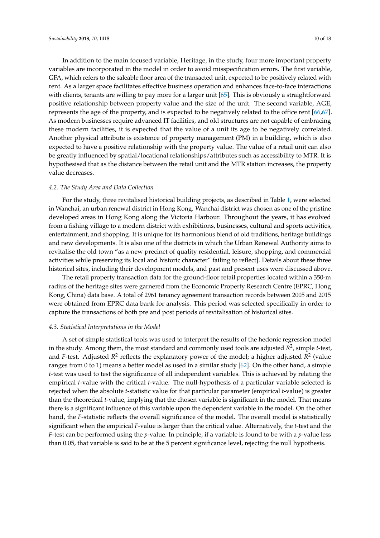In addition to the main focused variable, Heritage, in the study, four more important property variables are incorporated in the model in order to avoid misspecification errors. The first variable, GFA, which refers to the saleable floor area of the transacted unit, expected to be positively related with rent. As a larger space facilitates effective business operation and enhances face-to-face interactions with clients, tenants are willing to pay more for a larger unit [\[65\]](#page-16-20). This is obviously a straightforward positive relationship between property value and the size of the unit. The second variable, AGE, represents the age of the property, and is expected to be negatively related to the office rent [\[66,](#page-16-21)[67\]](#page-16-22). As modern businesses require advanced IT facilities, and old structures are not capable of embracing these modern facilities, it is expected that the value of a unit its age to be negatively correlated. Another physical attribute is existence of property management (PM) in a building, which is also expected to have a positive relationship with the property value. The value of a retail unit can also be greatly influenced by spatial/locational relationships/attributes such as accessibility to MTR. It is hypothesised that as the distance between the retail unit and the MTR station increases, the property value decreases.

#### *4.2. The Study Area and Data Collection*

For the study, three revitalised historical building projects, as described in Table [1,](#page-7-0) were selected in Wanchai, an urban renewal district in Hong Kong. Wanchai district was chosen as one of the pristine developed areas in Hong Kong along the Victoria Harbour. Throughout the years, it has evolved from a fishing village to a modern district with exhibitions, businesses, cultural and sports activities, entertainment, and shopping. It is unique for its harmonious blend of old traditions, heritage buildings and new developments. It is also one of the districts in which the Urban Renewal Authority aims to revitalise the old town "as a new precinct of quality residential, leisure, shopping, and commercial activities while preserving its local and historic character" failing to reflect]. Details about these three historical sites, including their development models, and past and present uses were discussed above.

The retail property transaction data for the ground-floor retail properties located within a 350-m radius of the heritage sites were garnered from the Economic Property Research Centre (EPRC, Hong Kong, China) data base. A total of 2961 tenancy agreement transaction records between 2005 and 2015 were obtained from EPRC data bank for analysis. This period was selected specifically in order to capture the transactions of both pre and post periods of revitalisation of historical sites.

## *4.3. Statistical Interpretations in the Model*

A set of simple statistical tools was used to interpret the results of the hedonic regression model in the study. Among them, the most standard and commonly used tools are adjusted *R* 2 , simple *t*-test, and *F*-test. Adjusted *R*<sup>2</sup> reflects the explanatory power of the model; a higher adjusted *R*<sup>2</sup> (value ranges from 0 to 1) means a better model as used in a similar study [\[62\]](#page-16-17). On the other hand, a simple *t*-test was used to test the significance of all independent variables. This is achieved by relating the empirical *t*-value with the critical *t*-value. The null-hypothesis of a particular variable selected is rejected when the absolute *t*-statistic value for that particular parameter (empirical *t*-value) is greater than the theoretical *t*-value, implying that the chosen variable is significant in the model. That means there is a significant influence of this variable upon the dependent variable in the model. On the other hand, the *F*-statistic reflects the overall significance of the model. The overall model is statistically significant when the empirical *F*-value is larger than the critical value. Alternatively, the *t*-test and the *F*-test can be performed using the *p*-value. In principle, if a variable is found to be with a *p*-value less than 0.05, that variable is said to be at the 5 percent significance level, rejecting the null hypothesis.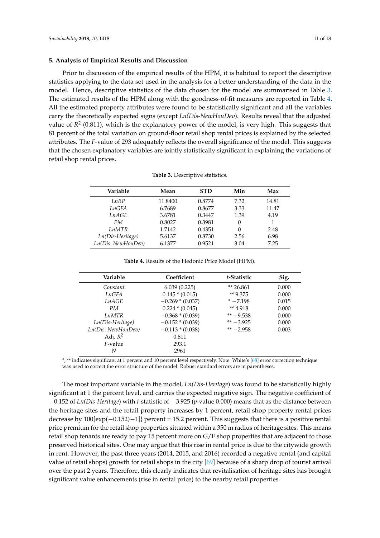## **5. Analysis of Empirical Results and Discussion**

Prior to discussion of the empirical results of the HPM, it is habitual to report the descriptive statistics applying to the data set used in the analysis for a better understanding of the data in the model. Hence, descriptive statistics of the data chosen for the model are summarised in Table [3.](#page-10-0) The estimated results of the HPM along with the goodness-of-fit measures are reported in Table [4.](#page-10-1) All the estimated property attributes were found to be statistically significant and all the variables carry the theoretically expected signs (except *Ln(Dis-NewHouDev*). Results reveal that the adjusted value of *R* 2 (0.811), which is the explanatory power of the model, is very high. This suggests that 81 percent of the total variation on ground-floor retail shop rental prices is explained by the selected attributes. The *F*-value of 293 adequately reflects the overall significance of the model. This suggests that the chosen explanatory variables are jointly statistically significant in explaining the variations of retail shop rental prices.

<span id="page-10-0"></span>

| Variable          | Mean    | <b>STD</b> | Min      | Max   |
|-------------------|---------|------------|----------|-------|
| LnRP              | 11.8400 | 0.8774     | 7.32     | 14.81 |
| LnGFA             | 6.7689  | 0.8677     | 3.33     | 11.47 |
| LnAGE             | 3.6781  | 0.3447     | 1.39     | 4.19  |
| PM                | 0.8027  | 0.3981     | $\Omega$ |       |
| LnMTR             | 1.7142  | 0.4351     | $\Omega$ | 2.48  |
| Ln(Dis-Heritage)  | 5.6137  | 0.8730     | 2.56     | 6.98  |
| Ln(Dis_NewHouDev) | 6.1377  | 0.9521     | 3.04     | 7.25  |

**Table 3.** Descriptive statistics.

| <b>Table 4.</b> Results of the Hedonic Price Model (HPM). |  |
|-----------------------------------------------------------|--|
|-----------------------------------------------------------|--|

<span id="page-10-1"></span>

| Variable<br>Coefficient |                    | t-Statistic | Sig.  |
|-------------------------|--------------------|-------------|-------|
| Constant                | 6.039(0.225)       | $*$ 26.861  | 0.000 |
| LnGFA                   | $0.145 * (0.015)$  | ** 9.375    | 0.000 |
| <i>LnAGE</i>            | $-0.269 * (0.037)$ | $* -7.198$  | 0.015 |
| PM                      | $0.224 * (0.045)$  | ** 4.918    | 0.000 |
| <i>LnMTR</i>            | $-0.368*(0.039)$   | ** $-9.538$ | 0.000 |
| Ln(Dis-Heritage)        | $-0.152*(0.039)$   | $** -3.925$ | 0.000 |
| $Ln(Dis\ NewHouDev)$    | $-0.113 * (0.038)$ | $** -2.958$ | 0.003 |
| Adj. $R^2$              | 0.811              |             |       |
| <i>F</i> -value         | 293.1              |             |       |
| N                       | 2961               |             |       |

\*, \*\* indicates significant at 1 percent and 10 percent level respectively. Note: White's [\[68\]](#page-16-23) error correction technique was used to correct the error structure of the model. Robust standard errors are in parentheses.

The most important variable in the model, *Ln(Dis-Heritage*) was found to be statistically highly significant at 1 the percent level, and carries the expected negative sign. The negative coefficient of −0.152 of *Ln(Dis-Heritage*) with *t*-statistic of −3.925 (*p*-value 0.000) means that as the distance between the heritage sites and the retail property increases by 1 percent, retail shop property rental prices decrease by 100[exp(−0.152)−1]} percent = 15.2 percent. This suggests that there is a positive rental price premium for the retail shop properties situated within a 350 m radius of heritage sites. This means retail shop tenants are ready to pay 15 percent more on G/F shop properties that are adjacent to those preserved historical sites. One may argue that this rise in rental price is due to the citywide growth in rent. However, the past three years (2014, 2015, and 2016) recorded a negative rental (and capital value of retail shops) growth for retail shops in the city [\[69\]](#page-16-24) because of a sharp drop of tourist arrival over the past 2 years. Therefore, this clearly indicates that revitalisation of heritage sites has brought significant value enhancements (rise in rental price) to the nearby retail properties.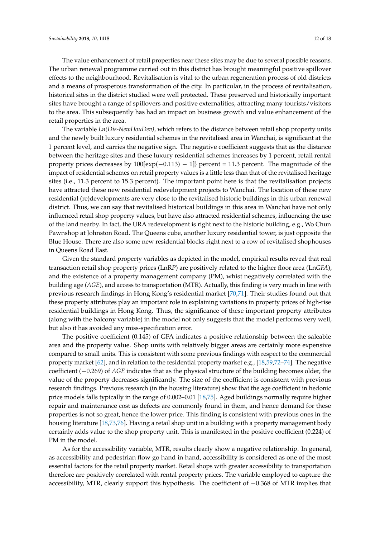The value enhancement of retail properties near these sites may be due to several possible reasons. The urban renewal programme carried out in this district has brought meaningful positive spillover effects to the neighbourhood. Revitalisation is vital to the urban regeneration process of old districts and a means of prosperous transformation of the city. In particular, in the process of revitalisation, historical sites in the district studied were well protected. These preserved and historically important sites have brought a range of spillovers and positive externalities, attracting many tourists/visitors to the area. This subsequently has had an impact on business growth and value enhancement of the retail properties in the area.

The variable *Ln(Dis-NewHouDev)*, which refers to the distance between retail shop property units and the newly built luxury residential schemes in the revitalised area in Wanchai, is significant at the 1 percent level, and carries the negative sign. The negative coefficient suggests that as the distance between the heritage sites and these luxury residential schemes increases by 1 percent, retail rental property prices decreases by  $100[\exp(-0.113) - 1]$ } percent = 11.3 percent. The magnitude of the impact of residential schemes on retail property values is a little less than that of the revitalised heritage sites (i.e., 11.3 percent to 15.3 percent). The important point here is that the revitalisation projects have attracted these new residential redevelopment projects to Wanchai. The location of these new residential (re)developments are very close to the revitalised historic buildings in this urban renewal district. Thus, we can say that revitalised historical buildings in this area in Wanchai have not only influenced retail shop property values, but have also attracted residential schemes, influencing the use of the land nearby. In fact, the URA redevelopment is right next to the historic building, e.g., Wo Chun Pawnshop at Johnston Road. The Queens cube, another luxury residential tower, is just opposite the Blue House. There are also some new residential blocks right next to a row of revitalised shophouses in Queens Road East.

Given the standard property variables as depicted in the model, empirical results reveal that real transaction retail shop property prices (LnR*P*) are positively related to the higher floor area (Ln*GFA*), and the existence of a property management company (PM), whist negatively correlated with the building age (*AGE*), and access to transportation (MTR). Actually, this finding is very much in line with previous research findings in Hong Kong's residential market [\[70,](#page-17-0)[71\]](#page-17-1). Their studies found out that these property attributes play an important role in explaining variations in property prices of high-rise residential buildings in Hong Kong. Thus, the significance of these important property attributes (along with the balcony variable) in the model not only suggests that the model performs very well, but also it has avoided any miss-specification error.

The positive coefficient (0.145) of GFA indicates a positive relationship between the saleable area and the property value. Shop units with relatively bigger areas are certainly more expensive compared to small units. This is consistent with some previous findings with respect to the commercial property market [\[62\]](#page-16-17), and in relation to the residential property market e.g., [\[18](#page-15-24)[,59](#page-16-14)[,72–](#page-17-2)[74\]](#page-17-3). The negative coefficient (−0.269) of *AGE* indicates that as the physical structure of the building becomes older, the value of the property decreases significantly. The size of the coefficient is consistent with previous research findings. Previous research (in the housing literature) show that the age coefficient in hedonic price models falls typically in the range of 0.002–0.01 [\[18](#page-15-24)[,75\]](#page-17-4). Aged buildings normally require higher repair and maintenance cost as defects are commonly found in them, and hence demand for these properties is not so great, hence the lower price. This finding is consistent with previous ones in the housing literature [\[18](#page-15-24)[,73](#page-17-5)[,76\]](#page-17-6). Having a retail shop unit in a building with a property management body certainly adds value to the shop property unit. This is manifested in the positive coefficient (0.224) of PM in the model.

As for the accessibility variable, MTR, results clearly show a negative relationship. In general, as accessibility and pedestrian flow go hand in hand, accessibility is considered as one of the most essential factors for the retail property market. Retail shops with greater accessibility to transportation therefore are positively correlated with rental property prices. The variable employed to capture the accessibility, MTR, clearly support this hypothesis. The coefficient of −0.368 of MTR implies that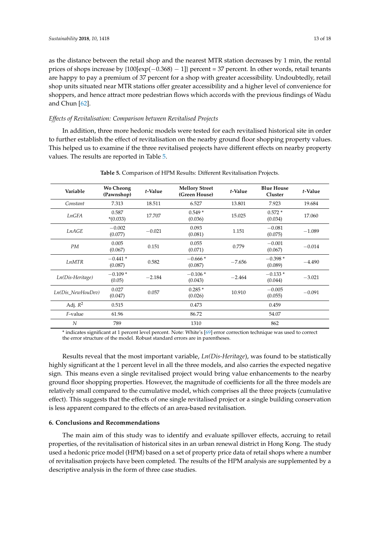as the distance between the retail shop and the nearest MTR station decreases by 1 min, the rental prices of shops increase by {100[exp(−0.368) − 1]} percent = 37 percent. In other words, retail tenants are happy to pay a premium of 37 percent for a shop with greater accessibility. Undoubtedly, retail shop units situated near MTR stations offer greater accessibility and a higher level of convenience for shoppers, and hence attract more pedestrian flows which accords with the previous findings of Wadu and Chun [\[62\]](#page-16-17).

## *Effects of Revitalisation: Comparison between Revitalised Projects*

In addition, three more hedonic models were tested for each revitalised historical site in order to further establish the effect of revitalisation on the nearby ground floor shopping property values. This helped us to examine if the three revitalised projects have different effects on nearby property values. The results are reported in Table [5.](#page-12-0)

<span id="page-12-0"></span>

| Variable          | <b>Wo Cheong</b><br>(Pawnshop) | t-Value  | <b>Mellory Street</b><br>(Green House) | t-Value  | <b>Blue House</b><br>Cluster | t-Value  |
|-------------------|--------------------------------|----------|----------------------------------------|----------|------------------------------|----------|
| Constant          | 7.313                          | 18.511   | 6.527                                  | 13.801   | 7.923                        | 19.684   |
| LnGFA             | 0.587<br>$*(0.033)$            | 17.707   | $0.549*$<br>(0.036)                    | 15.025   | $0.572*$<br>(0.034)          | 17.060   |
| LnAGE             | $-0.002$<br>(0.077)            | $-0.021$ | 0.093<br>(0.081)                       | 1.151    | $-0.081$<br>(0.075)          | $-1.089$ |
| PM                | 0.005<br>(0.067)               | 0.151    | 0.055<br>(0.071)                       | 0.779    | $-0.001$<br>(0.067)          | $-0.014$ |
| <i>LnMTR</i>      | $-0.441*$<br>(0.087)           | 0.582    | $-0.666*$<br>(0.087)                   | $-7.656$ | $-0.398*$<br>(0.089)         | $-4.490$ |
| Ln(Dis-Heritage)  | $-0.109*$<br>(0.05)            | $-2.184$ | $-0.106*$<br>(0.043)                   | $-2.464$ | $-0.133*$<br>(0.044)         | $-3.021$ |
| Ln(Dis NewHouDev) | 0.027<br>(0.047)               | 0.057    | $0.285*$<br>(0.026)                    | 10.910   | $-0.005$<br>(0.055)          | $-0.091$ |
| Adj. $R^2$        | 0.515                          |          | 0.473                                  |          | 0.459                        |          |
| $F$ -value        | 61.96                          |          | 86.72                                  |          | 54.07                        |          |
| N                 | 789                            |          | 1310                                   |          | 862                          |          |

**Table 5.** Comparison of HPM Results: Different Revitalisation Projects.

\* indicates significant at 1 percent level percent. Note: White's [\[69\]](#page-16-24) error correction technique was used to correct the error structure of the model. Robust standard errors are in parentheses.

Results reveal that the most important variable, *Ln(Dis-Heritage*), was found to be statistically highly significant at the 1 percent level in all the three models, and also carries the expected negative sign. This means even a single revitalised project would bring value enhancements to the nearby ground floor shopping properties. However, the magnitude of coefficients for all the three models are relatively small compared to the cumulative model, which comprises all the three projects (cumulative effect). This suggests that the effects of one single revitalised project or a single building conservation is less apparent compared to the effects of an area-based revitalisation.

## **6. Conclusions and Recommendations**

The main aim of this study was to identify and evaluate spillover effects, accruing to retail properties, of the revitalisation of historical sites in an urban renewal district in Hong Kong. The study used a hedonic price model (HPM) based on a set of property price data of retail shops where a number of revitalisation projects have been completed. The results of the HPM analysis are supplemented by a descriptive analysis in the form of three case studies.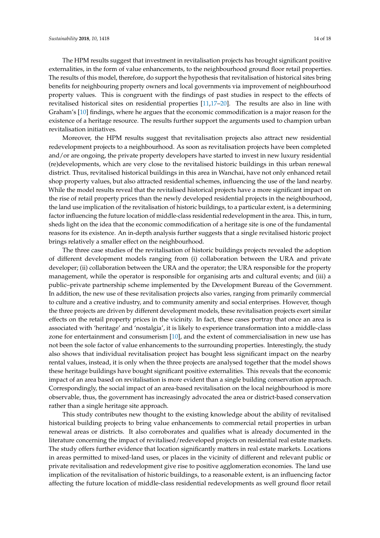The HPM results suggest that investment in revitalisation projects has brought significant positive externalities, in the form of value enhancements, to the neighbourhood ground floor retail properties. The results of this model, therefore, do support the hypothesis that revitalisation of historical sites bring benefits for neighbouring property owners and local governments via improvement of neighbourhood property values. This is congruent with the findings of past studies in respect to the effects of revitalised historical sites on residential properties [\[11](#page-14-8)[,17](#page-15-25)[–20\]](#page-15-0). The results are also in line with Graham's [\[10\]](#page-14-7) findings, where he argues that the economic commodification is a major reason for the existence of a heritage resource. The results further support the arguments used to champion urban revitalisation initiatives.

Moreover, the HPM results suggest that revitalisation projects also attract new residential redevelopment projects to a neighbourhood. As soon as revitalisation projects have been completed and/or are ongoing, the private property developers have started to invest in new luxury residential (re)developments, which are very close to the revitalised historic buildings in this urban renewal district. Thus, revitalised historical buildings in this area in Wanchai, have not only enhanced retail shop property values, but also attracted residential schemes, influencing the use of the land nearby. While the model results reveal that the revitalised historical projects have a more significant impact on the rise of retail property prices than the newly developed residential projects in the neighbourhood, the land use implication of the revitalisation of historic buildings, to a particular extent, is a determining factor influencing the future location of middle-class residential redevelopment in the area. This, in turn, sheds light on the idea that the economic commodification of a heritage site is one of the fundamental reasons for its existence. An in-depth analysis further suggests that a single revitalised historic project brings relatively a smaller effect on the neighbourhood.

The three case studies of the revitalisation of historic buildings projects revealed the adoption of different development models ranging from (i) collaboration between the URA and private developer; (ii) collaboration between the URA and the operator; the URA responsible for the property management, while the operator is responsible for organising arts and cultural events; and (iii) a public–private partnership scheme implemented by the Development Bureau of the Government. In addition, the new use of these revitalisation projects also varies, ranging from primarily commercial to culture and a creative industry, and to community amenity and social enterprises. However, though the three projects are driven by different development models, these revitalisation projects exert similar effects on the retail property prices in the vicinity. In fact, these cases portray that once an area is associated with 'heritage' and 'nostalgia', it is likely to experience transformation into a middle-class zone for entertainment and consumerism [\[10\]](#page-14-7), and the extent of commercialisation in new use has not been the sole factor of value enhancements to the surrounding properties. Interestingly, the study also shows that individual revitalisation project has bought less significant impact on the nearby rental values, instead, it is only when the three projects are analysed together that the model shows these heritage buildings have bought significant positive externalities. This reveals that the economic impact of an area based on revitalisation is more evident than a single building conservation approach. Correspondingly, the social impact of an area-based revitalisation on the local neighbourhood is more observable, thus, the government has increasingly advocated the area or district-based conservation rather than a single heritage site approach.

This study contributes new thought to the existing knowledge about the ability of revitalised historical building projects to bring value enhancements to commercial retail properties in urban renewal areas or districts. It also corroborates and qualifies what is already documented in the literature concerning the impact of revitalised/redeveloped projects on residential real estate markets. The study offers further evidence that location significantly matters in real estate markets. Locations in areas permitted to mixed-land uses, or places in the vicinity of different and relevant public or private revitalisation and redevelopment give rise to positive agglomeration economies. The land use implication of the revitalisation of historic buildings, to a reasonable extent, is an influencing factor affecting the future location of middle-class residential redevelopments as well ground floor retail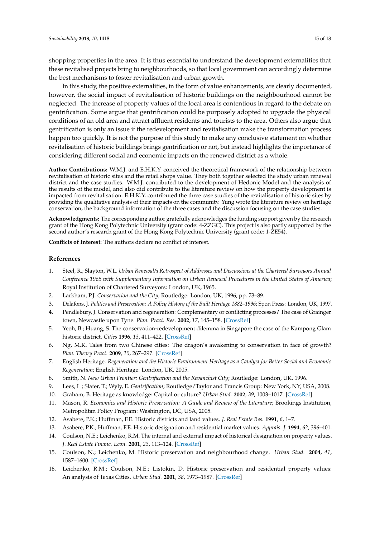shopping properties in the area. It is thus essential to understand the development externalities that these revitalised projects bring to neighbourhoods, so that local government can accordingly determine the best mechanisms to foster revitalisation and urban growth.

In this study, the positive externalities, in the form of value enhancements, are clearly documented, however, the social impact of revitalisation of historic buildings on the neighbourhood cannot be neglected. The increase of property values of the local area is contentious in regard to the debate on gentrification. Some argue that gentrification could be purposely adopted to upgrade the physical conditions of an old area and attract affluent residents and tourists to the area. Others also argue that gentrification is only an issue if the redevelopment and revitalisation make the transformation process happen too quickly. It is not the purpose of this study to make any conclusive statement on whether revitalisation of historic buildings brings gentrification or not, but instead highlights the importance of considering different social and economic impacts on the renewed district as a whole.

**Author Contributions:** W.M.J. and E.H.K.Y. conceived the theoretical framework of the relationship between revitalisation of historic sites and the retail shops value. They both together selected the study urban renewal district and the case studies. W.M.J. contributed to the development of Hedonic Model and the analysis of the results of the model, and also did contribute to the literature review on how the property development is impacted from revitalisation. E.H.K.Y. contributed the three case studies of the revitalisation of historic sites by providing the qualitative analysis of their impacts on the community. Yung wrote the literature review on heritage conservation, the background information of the three cases and the discussion focusing on the case studies.

**Acknowledgments:** The corresponding author gratefully acknowledges the funding support given by the research grant of the Hong Kong Polytechnic University (grant code: 4-ZZGC). This project is also partly supported by the second author's research grant of the Hong Kong Polytechnic University (grant code: 1-ZE54).

**Conflicts of Interest:** The authors declare no conflict of interest.

#### **References**

- <span id="page-14-0"></span>1. Steel, R.; Slayton, W.L. *Urban Renewal/a Retrospect of Addresses and Discussions at the Chartered Surveyors Annual Conference 1965 with Supplementary Information on Urban Renewal Procedures in the United States of America*; Royal Institution of Chartered Surveyors: London, UK, 1965.
- <span id="page-14-1"></span>2. Larkham, P.J. *Conservation and the City*; Routledge: London, UK, 1996; pp. 73–89.
- <span id="page-14-11"></span>3. Delafons, J. *Politics and Preservation: A Policy History of the Built Heritage 1882–1996*; Spon Press: London, UK, 1997.
- <span id="page-14-2"></span>4. Pendlebury, J. Conservation and regeneration: Complementary or conflicting processes? The case of Grainger town, Newcastle upon Tyne. *Plan. Pract. Res.* **2002**, *17*, 145–158. [\[CrossRef\]](http://dx.doi.org/10.1080/02697450220145913)
- <span id="page-14-3"></span>5. Yeoh, B.; Huang, S. The conservation-redevelopment dilemma in Singapore the case of the Kampong Glam historic district. *Cities* **1996**, *13*, 411–422. [\[CrossRef\]](http://dx.doi.org/10.1016/0264-2751(96)00028-5)
- 6. Ng, M.K. Tales from two Chinese cities: The dragon's awakening to conservation in face of growth? *Plan. Theory Pract.* **2009**, *10*, 267–297. [\[CrossRef\]](http://dx.doi.org/10.1080/14649350902884854)
- <span id="page-14-4"></span>7. English Heritage. *Regeneration and the Historic Environment Heritage as a Catalyst for Better Social and Economic Regeneration*; English Heritage: London, UK, 2005.
- <span id="page-14-5"></span>8. Smith, N. *New Urban Frontier: Gentrification and the Revanchist City*; Routledge: London, UK, 1996.
- <span id="page-14-6"></span>9. Lees, L.; Slater, T.; Wyly, E. *Gentrification*; Routledge/Taylor and Francis Group: New York, NY, USA, 2008.
- <span id="page-14-7"></span>10. Graham, B. Heritage as knowledge: Capital or culture? *Urban Stud.* **2002**, *39*, 1003–1017. [\[CrossRef\]](http://dx.doi.org/10.1080/00420980220128426)
- <span id="page-14-8"></span>11. Mason, R. *Economics and Historic Preservation: A Guide and Review of the Literature*; Brookings Institution, Metropolitan Policy Program: Washington, DC, USA, 2005.
- <span id="page-14-9"></span>12. Asabere, P.K.; Huffman, F.E. Historic districts and land values. *J. Real Estate Res.* **1991**, *6*, 1–7.
- <span id="page-14-13"></span><span id="page-14-10"></span>13. Asabere, P.K.; Huffman, F.E. Historic designation and residential market values. *Apprais. J.* **1994**, *62*, 396–401.
- 14. Coulson, N.E.; Leichenko, R.M. The internal and external impact of historical designation on property values. *J. Real Estate Financ. Econ.* **2001**, *23*, 113–124. [\[CrossRef\]](http://dx.doi.org/10.1023/A:1011120908836)
- <span id="page-14-12"></span>15. Coulson, N.; Leichenko, M. Historic preservation and neighbourhood change. *Urban Stud.* **2004**, *41*, 1587–1600. [\[CrossRef\]](http://dx.doi.org/10.1080/0042098042000227028)
- 16. Leichenko, R.M.; Coulson, N.E.; Listokin, D. Historic preservation and residential property values: An analysis of Texas Cities. *Urban Stud.* **2001**, *38*, 1973–1987. [\[CrossRef\]](http://dx.doi.org/10.1080/00420980120080880)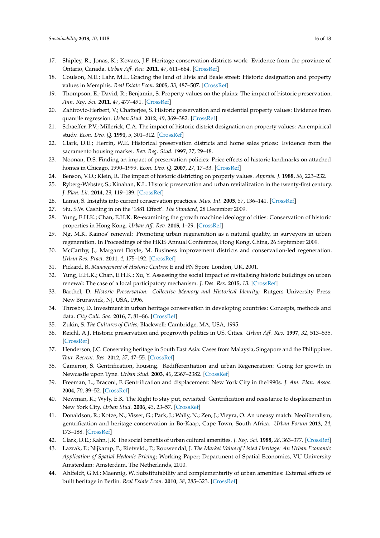- <span id="page-15-25"></span>17. Shipley, R.; Jonas, K.; Kovacs, J.F. Heritage conservation districts work: Evidence from the province of Ontario, Canada. *Urban Aff. Rev.* **2011**, *47*, 611–664. [\[CrossRef\]](http://dx.doi.org/10.1177/1078087411400559)
- <span id="page-15-24"></span>18. Coulson, N.E.; Lahr, M.L. Gracing the land of Elvis and Beale street: Historic designation and property values in Memphis. *Real Estate Econ.* **2005**, *33*, 487–507. [\[CrossRef\]](http://dx.doi.org/10.1111/j.1540-6229.2005.00127.x)
- 19. Thompson, E.; David, R.; Benjamin, S. Property values on the plains: The impact of historic preservation. *Ann. Reg. Sci.* **2011**, *47*, 477–491. [\[CrossRef\]](http://dx.doi.org/10.1007/s00168-010-0373-9)
- <span id="page-15-0"></span>20. Zahirovic-Herbert, V.; Chatterjee, S. Historic preservation and residential property values: Evidence from quantile regression. *Urban Stud.* **2012**, *49*, 369–382. [\[CrossRef\]](http://dx.doi.org/10.1177/0042098011404936)
- <span id="page-15-1"></span>21. Schaeffer, P.V.; Millerick, C.A. The impact of historic district designation on property values: An empirical study. *Econ. Dev. Q.* **1991**, *5*, 301–312. [\[CrossRef\]](http://dx.doi.org/10.1177/089124249100500402)
- 22. Clark, D.E.; Herrin, W.E. Historical preservation districts and home sales prices: Evidence from the sacramento housing market. *Rev. Reg. Stud.* **1997**, *27*, 29–48.
- <span id="page-15-2"></span>23. Noonan, D.S. Finding an impact of preservation policies: Price effects of historic landmarks on attached homes in Chicago, 1990–1999. *Econ. Dev. Q.* **2007**, *27*, 17–33. [\[CrossRef\]](http://dx.doi.org/10.1177/0891242406296326)
- <span id="page-15-3"></span>24. Benson, V.O.; Klein, R. The impact of historic districting on property values. *Apprais. J.* **1988**, *56*, 223–232.
- <span id="page-15-4"></span>25. Ryberg-Webster, S.; Kinahan, K.L. Historic preservation and urban revitalization in the twenty-first century. *J. Plan. Lit.* **2014**, *29*, 119–139. [\[CrossRef\]](http://dx.doi.org/10.1177/0885412213510524)
- <span id="page-15-5"></span>26. Lamei, S. Insights into current conservation practices. *Mus. Int.* **2005**, *57*, 136–141. [\[CrossRef\]](http://dx.doi.org/10.1111/j.1468-0033.2005.00522.x)
- <span id="page-15-7"></span><span id="page-15-6"></span>27. Siu, S.W. Cashing in on the '1881 Effect'. *The Standard*, 28 December 2009.
- 28. Yung, E.H.K.; Chan, E.H.K. Re-examining the growth machine ideology of cities: Conservation of historic properties in Hong Kong. *Urban Aff. Rev.* **2015**, 1–29. [\[CrossRef\]](http://dx.doi.org/10.1177/1078087415589040)
- <span id="page-15-8"></span>29. Ng, M.K. Kainos' renewal: Promoting urban regeneration as a natural quality, in surveyors in urban regeneration. In Proceedings of the HKIS Annual Conference, Hong Kong, China, 26 September 2009.
- <span id="page-15-9"></span>30. McCarthy, J.; Margaret Doyle, M. Business improvement districts and conservation-led regeneration. *Urban Res. Pract.* **2011**, *4*, 175–192. [\[CrossRef\]](http://dx.doi.org/10.1080/17535069.2011.579772)
- <span id="page-15-10"></span>31. Pickard, R. *Management of Historic Centres*; E and FN Spon: London, UK, 2001.
- <span id="page-15-11"></span>32. Yung, E.H.K.; Chan, E.H.K.; Xu, Y. Assessing the social impact of revitalising historic buildings on urban renewal: The case of a local participatory mechanism. *J. Des. Res.* **2015**, *13*. [\[CrossRef\]](http://dx.doi.org/10.1504/JDR.2015.069755)
- <span id="page-15-12"></span>33. Barthel, D. *Historic Preservation: Collective Memory and Historical Identity*; Rutgers University Press: New Brunswick, NJ, USA, 1996.
- <span id="page-15-13"></span>34. Throsby, D. Investment in urban heritage conservation in developing countries: Concepts, methods and data. *City Cult. Soc.* **2016**, *7*, 81–86. [\[CrossRef\]](http://dx.doi.org/10.1016/j.ccs.2015.11.002)
- <span id="page-15-14"></span>35. Zukin, S. *The Cultures of Cities*; Blackwell: Cambridge, MA, USA, 1995.
- <span id="page-15-15"></span>36. Reichl, A.J. Historic preservation and progrowth politics in US. Cities. *Urban Aff. Rev.* **1997**, *32*, 513–535. [\[CrossRef\]](http://dx.doi.org/10.1177/107808749703200404)
- <span id="page-15-16"></span>37. Henderson, J.C. Conserving heritage in South East Asia: Cases from Malaysia, Singapore and the Philippines. *Tour. Recreat. Res.* **2012**, *37*, 47–55. [\[CrossRef\]](http://dx.doi.org/10.1080/02508281.2012.11081687)
- <span id="page-15-17"></span>38. Cameron, S. Gentrification, housing. Redifferentiation and urban Regeneration: Going for growth in Newcastle upon Tyne. *Urban Stud.* **2003**, *40*, 2367–2382. [\[CrossRef\]](http://dx.doi.org/10.1080/0042098032000136110)
- <span id="page-15-18"></span>39. Freeman, L.; Braconi, F. Gentrification and displacement: New York City in the1990s. *J. Am. Plan. Assoc.* **2004**, *70*, 39–52. [\[CrossRef\]](http://dx.doi.org/10.1080/01944360408976337)
- <span id="page-15-19"></span>40. Newman, K.; Wyly, E.K. The Right to stay put, revisited: Gentrification and resistance to displacement in New York City. *Urban Stud.* **2006**, *43*, 23–57. [\[CrossRef\]](http://dx.doi.org/10.1080/00420980500388710)
- <span id="page-15-20"></span>41. Donaldson, R.; Kotze, N.; Visser, G.; Park, J.; Wally, N.; Zen, J.; Vieyra, O. An uneasy match: Neoliberalism, gentrification and heritage conservation in Bo-Kaap, Cape Town, South Africa. *Urban Forum* **2013**, *24*, 173–188. [\[CrossRef\]](http://dx.doi.org/10.1007/s12132-012-9182-9)
- <span id="page-15-21"></span>42. Clark, D.E.; Kahn, J.R. The social benefits of urban cultural amenities. *J. Reg. Sci.* **1988**, *28*, 363–377. [\[CrossRef\]](http://dx.doi.org/10.1111/j.1467-9787.1988.tb01088.x)
- <span id="page-15-22"></span>43. Lazrak, F.; Nijkamp, P.; Rietveld., P.; Rouwendal, J. *The Market Value of Listed Heritage: An Urban Economic Application of Spatial Hedonic Pricing*; Working Paper; Department of Spatial Economics, VU University Amsterdam: Amsterdam, The Netherlands, 2010.
- <span id="page-15-23"></span>44. Ahlfeldt, G.M.; Maennig, W. Substitutability and complementarity of urban amenities: External effects of built heritage in Berlin. *Real Estate Econ.* **2010**, *38*, 285–323. [\[CrossRef\]](http://dx.doi.org/10.1111/j.1540-6229.2010.00268.x)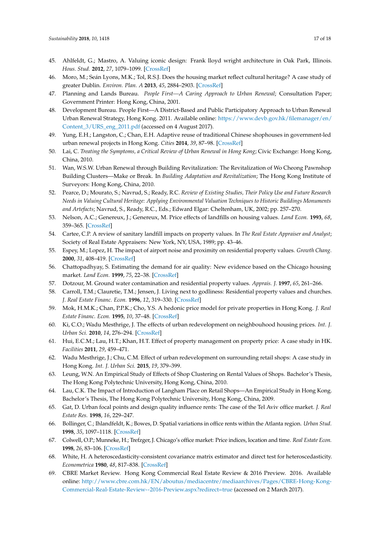- <span id="page-16-0"></span>45. Ahlfeldt, G.; Mastro, A. Valuing iconic design: Frank lloyd wright architecture in Oak Park, Illinois. *Hous. Stud.* **2012**, *27*, 1079–1099. [\[CrossRef\]](http://dx.doi.org/10.1080/02673037.2012.728575)
- <span id="page-16-1"></span>46. Moro, M.; Seán Lyons, M.K.; Tol, R.S.J. Does the housing market reflect cultural heritage? A case study of greater Dublin. *Environ. Plan. A* **2013**, *45*, 2884–2903. [\[CrossRef\]](http://dx.doi.org/10.1068/a45524)
- <span id="page-16-2"></span>47. Planning and Lands Bureau. *People First—A Caring Approach to Urban Renewal*; Consultation Paper; Government Printer: Hong Kong, China, 2001.
- <span id="page-16-3"></span>48. Development Bureau. People First—A District-Based and Public Participatory Approach to Urban Renewal Urban Renewal Strategy, Hong Kong. 2011. Available online: [https://www.devb.gov.hk/filemanager/en/](https://www.devb.gov.hk/filemanager/en/Content_3/URS_eng_2011.pdf) [Content\\_3/URS\\_eng\\_2011.pdf](https://www.devb.gov.hk/filemanager/en/Content_3/URS_eng_2011.pdf) (accessed on 4 August 2017).
- <span id="page-16-4"></span>49. Yung, E.H.; Langston, C.; Chan, E.H. Adaptive reuse of traditional Chinese shophouses in government-led urban renewal projects in Hong Kong. *Cities* **2014**, *39*, 87–98. [\[CrossRef\]](http://dx.doi.org/10.1016/j.cities.2014.02.012)
- <span id="page-16-5"></span>50. Lai, C. *Treating the Symptoms, a Critical Review of Urban Renewal in Hong Kong*; Civic Exchange: Hong Kong, China, 2010.
- <span id="page-16-6"></span>51. Wan, W.S.W. Urban Renewal through Building Revitalization: The Revitalization of Wo Cheong Pawnshop Building Clusters—Make or Break. In *Building Adaptation and Revitalization*; The Hong Kong Institute of Surveyors: Hong Kong, China, 2010.
- <span id="page-16-7"></span>52. Pearce, D.; Mourato, S.; Navrud, S.; Ready, R.C. *Review of Existing Studies, Their Policy Use and Future Research Needs in Valuing Cultural Heritage: Applying Environmental Valuation Techniques to Historic Buildings Monuments and Artefacts*; Navrud, S., Ready, R.C., Eds.; Edward Elgar: Cheltenham, UK, 2002; pp. 257–270.
- <span id="page-16-8"></span>53. Nelson, A.C.; Genereux, J.; Genereux, M. Price effects of landfills on housing values. *Land Econ.* **1993**, *68*, 359–365. [\[CrossRef\]](http://dx.doi.org/10.2307/3146693)
- <span id="page-16-9"></span>54. Cartee, C.P. A review of sanitary landfill impacts on property values. In *The Real Estate Appraiser and Analyst*; Society of Real Estate Appraisers: New York, NY, USA, 1989; pp. 43–46.
- <span id="page-16-10"></span>55. Espey, M.; Lopez, H. The impact of airport noise and proximity on residential property values. *Growth Chang.* **2000**, *31*, 408–419. [\[CrossRef\]](http://dx.doi.org/10.1111/0017-4815.00135)
- <span id="page-16-11"></span>56. Chattopadhyay, S. Estimating the demand for air quality: New evidence based on the Chicago housing market. *Land Econ.* **1999**, *75*, 22–38. [\[CrossRef\]](http://dx.doi.org/10.2307/3146991)
- <span id="page-16-12"></span>57. Dotzour, M. Ground water contamination and residential property values. *Apprais. J.* **1997**, *65*, 261–266.
- <span id="page-16-13"></span>58. Carroll, T.M.; Clauretie, T.M.; Jensen, J. Living next to godliness: Residential property values and churches. *J. Real Estate Financ. Econ.* **1996**, *12*, 319–330. [\[CrossRef\]](http://dx.doi.org/10.1007/BF00127540)
- <span id="page-16-14"></span>59. Mok, H.M.K.; Chan, P.P.K.; Cho, Y.S. A hedonic price model for private properties in Hong Kong. *J. Real Estate Financ. Econ.* **1995**, *10*, 37–48. [\[CrossRef\]](http://dx.doi.org/10.1007/BF01099610)
- <span id="page-16-15"></span>60. Ki, C.O.; Wadu Mesthrige, J. The effects of urban redevelopment on neighbouhood housing prices. *Int. J. Urban Sci.* **2010**, *14*, 276–294. [\[CrossRef\]](http://dx.doi.org/10.1080/12265934.2010.9693685)
- <span id="page-16-16"></span>61. Hui, E.C.M.; Lau, H.T.; Khan, H.T. Effect of property management on property price: A case study in HK. *Facilities* **2011**, *29*, 459–471.
- <span id="page-16-17"></span>62. Wadu Mesthrige, J.; Chu, C.M. Effect of urban redevelopment on surrounding retail shops: A case study in Hong Kong. *Int. J. Urban Sci.* **2015**, *19*, 379–399.
- <span id="page-16-18"></span>63. Leung, W.N. An Empirical Study of Effects of Shop Clustering on Rental Values of Shops. Bachelor's Thesis, The Hong Kong Polytechnic University, Hong Kong, China, 2010.
- <span id="page-16-19"></span>64. Lau, C.K. The Impact of Introduction of Langham Place on Retail Shops—An Empirical Study in Hong Kong. Bachelor's Thesis, The Hong Kong Polytechnic University, Hong Kong, China, 2009.
- <span id="page-16-20"></span>65. Gat, D. Urban focal points and design quality influence rents: The case of the Tel Aviv office market. *J. Real Estate Res.* **1998**, *16*, 229–247.
- <span id="page-16-21"></span>66. Bollinger, C.; Ihlandfeldt, K.; Bowes, D. Spatial variations in office rents within the Atlanta region. *Urban Stud.* **1998**, *35*, 1097–1118. [\[CrossRef\]](http://dx.doi.org/10.1080/0042098984501)
- <span id="page-16-22"></span>67. Colwell, O.P.; Munneke, H.; Trefzger, J. Chicago's office market: Price indices, location and time. *Real Estate Econ.* **1998**, *26*, 83–106. [\[CrossRef\]](http://dx.doi.org/10.1111/1540-6229.00739)
- <span id="page-16-23"></span>68. White, H. A heteroscedasticity-consistent covariance matrix estimator and direct test for heteroscedasticity. *Econometrica* **1980**, *48*, 817–838. [\[CrossRef\]](http://dx.doi.org/10.2307/1912934)
- <span id="page-16-24"></span>69. CBRE Market Review. Hong Kong Commercial Real Estate Review & 2016 Preview. 2016. Available online: [http://www.cbre.com.hk/EN/aboutus/mediacentre/mediaarchives/Pages/CBRE-Hong-Kong-](http://www.cbre.com.hk/EN/aboutus/mediacentre/mediaarchives/Pages/CBRE-Hong-Kong-Commercial-Real-Estate-Review--2016-Preview.aspx?redirect=true)[Commercial-Real-Estate-Review--2016-Preview.aspx?redirect=true](http://www.cbre.com.hk/EN/aboutus/mediacentre/mediaarchives/Pages/CBRE-Hong-Kong-Commercial-Real-Estate-Review--2016-Preview.aspx?redirect=true) (accessed on 2 March 2017).